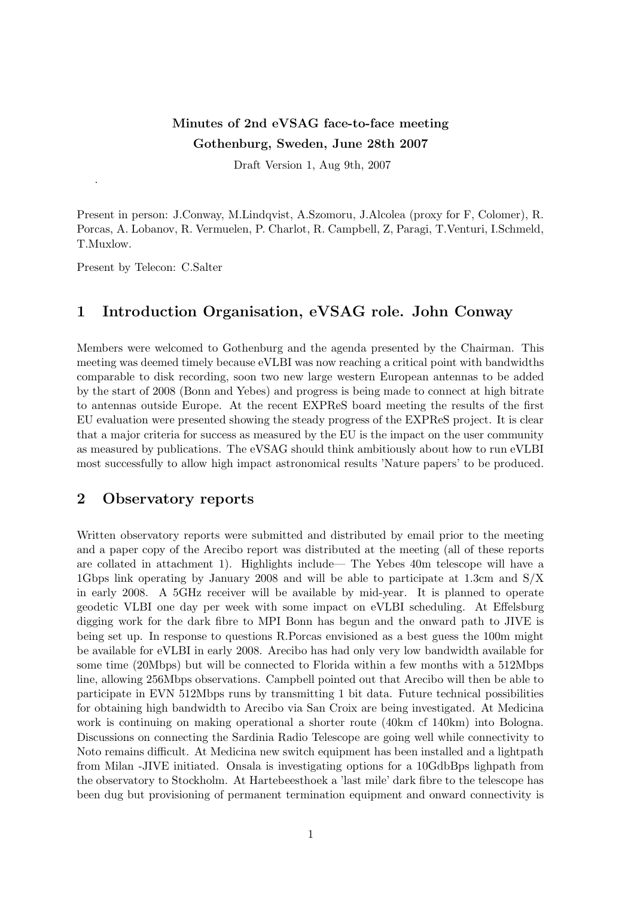# Minutes of 2nd eVSAG face-to-face meeting Gothenburg, Sweden, June 28th 2007

Draft Version 1, Aug 9th, 2007

Present in person: J.Conway, M.Lindqvist, A.Szomoru, J.Alcolea (proxy for F, Colomer), R. Porcas, A. Lobanov, R. Vermuelen, P. Charlot, R. Campbell, Z, Paragi, T.Venturi, I.Schmeld, T.Muxlow.

Present by Telecon: C.Salter

.

### 1 Introduction Organisation, eVSAG role. John Conway

Members were welcomed to Gothenburg and the agenda presented by the Chairman. This meeting was deemed timely because eVLBI was now reaching a critical point with bandwidths comparable to disk recording, soon two new large western European antennas to be added by the start of 2008 (Bonn and Yebes) and progress is being made to connect at high bitrate to antennas outside Europe. At the recent EXPReS board meeting the results of the first EU evaluation were presented showing the steady progress of the EXPReS project. It is clear that a major criteria for success as measured by the EU is the impact on the user community as measured by publications. The eVSAG should think ambitiously about how to run eVLBI most successfully to allow high impact astronomical results 'Nature papers' to be produced.

#### 2 Observatory reports

Written observatory reports were submitted and distributed by email prior to the meeting and a paper copy of the Arecibo report was distributed at the meeting (all of these reports are collated in attachment 1). Highlights include— The Yebes 40m telescope will have a 1Gbps link operating by January 2008 and will be able to participate at 1.3cm and S/X in early 2008. A 5GHz receiver will be available by mid-year. It is planned to operate geodetic VLBI one day per week with some impact on eVLBI scheduling. At Effelsburg digging work for the dark fibre to MPI Bonn has begun and the onward path to JIVE is being set up. In response to questions R.Porcas envisioned as a best guess the 100m might be available for eVLBI in early 2008. Arecibo has had only very low bandwidth available for some time (20Mbps) but will be connected to Florida within a few months with a 512Mbps line, allowing 256Mbps observations. Campbell pointed out that Arecibo will then be able to participate in EVN 512Mbps runs by transmitting 1 bit data. Future technical possibilities for obtaining high bandwidth to Arecibo via San Croix are being investigated. At Medicina work is continuing on making operational a shorter route (40km cf 140km) into Bologna. Discussions on connecting the Sardinia Radio Telescope are going well while connectivity to Noto remains difficult. At Medicina new switch equipment has been installed and a lightpath from Milan -JIVE initiated. Onsala is investigating options for a 10GdbBps lighpath from the observatory to Stockholm. At Hartebeesthoek a 'last mile' dark fibre to the telescope has been dug but provisioning of permanent termination equipment and onward connectivity is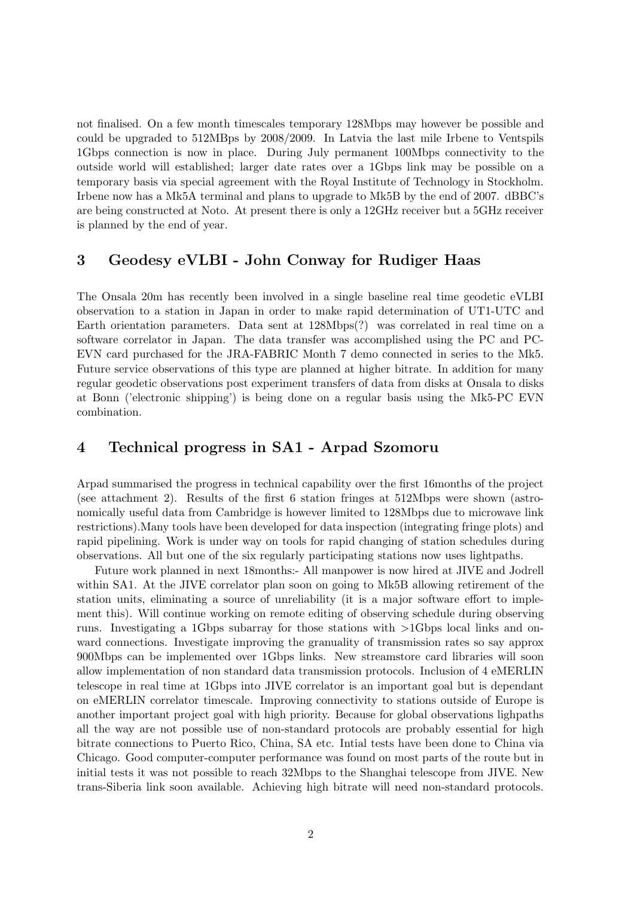not finalised. On a few month timescales temporary 128Mbps may however be possible and could be upgraded to 512MBps by 2008/2009. In Latvia the last mile Irbene to Ventspils 1Gbps connection is now in place. During July permanent 100Mbps connectivity to the outside world will established; larger date rates over a 1Gbps link may be possible on a temporary basis via special agreement with the Royal Institute of Technology in Stockholm. Irbene now has a Mk5A terminal and plans to upgrade to Mk5B by the end of 2007. dBBC's are being constructed at Noto. At present there is only a 12GHz receiver but a 5GHz receiver is planned by the end of year.

#### 3 Geodesy eVLBI - John Conway for Rudiger Haas

The Onsala 20m has recently been involved in a single baseline real time geodetic eVLBI observation to a station in Japan in order to make rapid determination of UT1-UTC and Earth orientation parameters. Data sent at 128Mbps(?) was correlated in real time on a software correlator in Japan. The data transfer was accomplished using the PC and PC-EVN card purchased for the JRA-FABRIC Month 7 demo connected in series to the Mk5. Future service observations of this type are planned at higher bitrate. In addition for many regular geodetic observations post experiment transfers of data from disks at Onsala to disks at Bonn ('electronic shipping') is being done on a regular basis using the Mk5-PC EVN combination.

#### 4 Technical progress in SA1 - Arpad Szomoru

Arpad summarised the progress in technical capability over the first 16months of the project (see attachment 2). Results of the first 6 station fringes at 512Mbps were shown (astronomically useful data from Cambridge is however limited to 128Mbps due to microwave link restrictions).Many tools have been developed for data inspection (integrating fringe plots) and rapid pipelining. Work is under way on tools for rapid changing of station schedules during observations. All but one of the six regularly participating stations now uses lightpaths.

Future work planned in next 18months:- All manpower is now hired at JIVE and Jodrell within SA1. At the JIVE correlator plan soon on going to Mk5B allowing retirement of the station units, eliminating a source of unreliability (it is a major software effort to implement this). Will continue working on remote editing of observing schedule during observing runs. Investigating a 1Gbps subarray for those stations with >1Gbps local links and onward connections. Investigate improving the granuality of transmission rates so say approx 900Mbps can be implemented over 1Gbps links. New streamstore card libraries will soon allow implementation of non standard data transmission protocols. Inclusion of 4 eMERLIN telescope in real time at 1Gbps into JIVE correlator is an important goal but is dependant on eMERLIN correlator timescale. Improving connectivity to stations outside of Europe is another important project goal with high priority. Because for global observations lighpaths all the way are not possible use of non-standard protocols are probably essential for high bitrate connections to Puerto Rico, China, SA etc. Intial tests have been done to China via Chicago. Good computer-computer performance was found on most parts of the route but in initial tests it was not possible to reach 32Mbps to the Shanghai telescope from JIVE. New trans-Siberia link soon available. Achieving high bitrate will need non-standard protocols.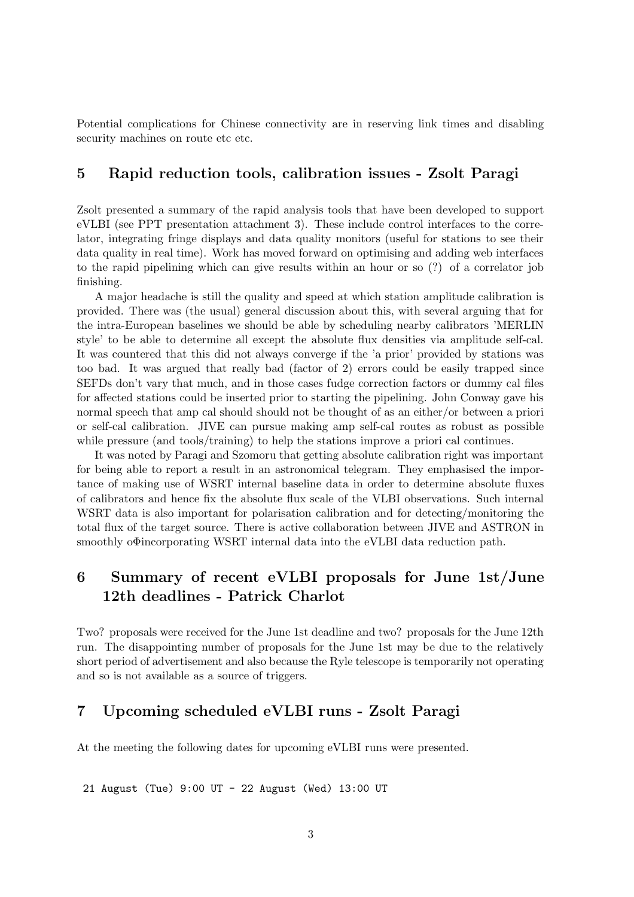Potential complications for Chinese connectivity are in reserving link times and disabling security machines on route etc etc.

#### 5 Rapid reduction tools, calibration issues - Zsolt Paragi

Zsolt presented a summary of the rapid analysis tools that have been developed to support eVLBI (see PPT presentation attachment 3). These include control interfaces to the correlator, integrating fringe displays and data quality monitors (useful for stations to see their data quality in real time). Work has moved forward on optimising and adding web interfaces to the rapid pipelining which can give results within an hour or so (?) of a correlator job finishing.

A major headache is still the quality and speed at which station amplitude calibration is provided. There was (the usual) general discussion about this, with several arguing that for the intra-European baselines we should be able by scheduling nearby calibrators 'MERLIN style' to be able to determine all except the absolute flux densities via amplitude self-cal. It was countered that this did not always converge if the 'a prior' provided by stations was too bad. It was argued that really bad (factor of 2) errors could be easily trapped since SEFDs don't vary that much, and in those cases fudge correction factors or dummy cal files for affected stations could be inserted prior to starting the pipelining. John Conway gave his normal speech that amp cal should should not be thought of as an either/or between a priori or self-cal calibration. JIVE can pursue making amp self-cal routes as robust as possible while pressure (and tools/training) to help the stations improve a priori cal continues.

It was noted by Paragi and Szomoru that getting absolute calibration right was important for being able to report a result in an astronomical telegram. They emphasised the importance of making use of WSRT internal baseline data in order to determine absolute fluxes of calibrators and hence fix the absolute flux scale of the VLBI observations. Such internal WSRT data is also important for polarisation calibration and for detecting/monitoring the total flux of the target source. There is active collaboration between JIVE and ASTRON in smoothly o $\Phi$ incorporating WSRT internal data into the eVLBI data reduction path.

## 6 Summary of recent eVLBI proposals for June 1st/June 12th deadlines - Patrick Charlot

Two? proposals were received for the June 1st deadline and two? proposals for the June 12th run. The disappointing number of proposals for the June 1st may be due to the relatively short period of advertisement and also because the Ryle telescope is temporarily not operating and so is not available as a source of triggers.

### 7 Upcoming scheduled eVLBI runs - Zsolt Paragi

At the meeting the following dates for upcoming eVLBI runs were presented.

21 August (Tue) 9:00 UT - 22 August (Wed) 13:00 UT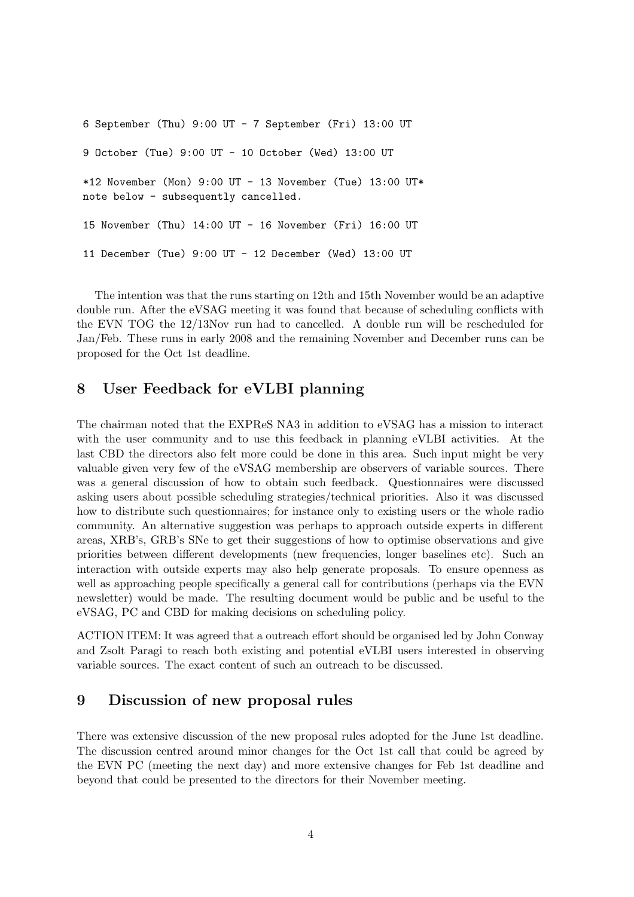```
6 September (Thu) 9:00 UT - 7 September (Fri) 13:00 UT
9 October (Tue) 9:00 UT - 10 October (Wed) 13:00 UT
*12 November (Mon) 9:00 UT - 13 November (Tue) 13:00 UT*
note below - subsequently cancelled.
15 November (Thu) 14:00 UT - 16 November (Fri) 16:00 UT
11 December (Tue) 9:00 UT - 12 December (Wed) 13:00 UT
```
The intention was that the runs starting on 12th and 15th November would be an adaptive double run. After the eVSAG meeting it was found that because of scheduling conflicts with the EVN TOG the 12/13Nov run had to cancelled. A double run will be rescheduled for Jan/Feb. These runs in early 2008 and the remaining November and December runs can be proposed for the Oct 1st deadline.

### 8 User Feedback for eVLBI planning

The chairman noted that the EXPReS NA3 in addition to eVSAG has a mission to interact with the user community and to use this feedback in planning eVLBI activities. At the last CBD the directors also felt more could be done in this area. Such input might be very valuable given very few of the eVSAG membership are observers of variable sources. There was a general discussion of how to obtain such feedback. Questionnaires were discussed asking users about possible scheduling strategies/technical priorities. Also it was discussed how to distribute such questionnaires; for instance only to existing users or the whole radio community. An alternative suggestion was perhaps to approach outside experts in different areas, XRB's, GRB's SNe to get their suggestions of how to optimise observations and give priorities between different developments (new frequencies, longer baselines etc). Such an interaction with outside experts may also help generate proposals. To ensure openness as well as approaching people specifically a general call for contributions (perhaps via the EVN newsletter) would be made. The resulting document would be public and be useful to the eVSAG, PC and CBD for making decisions on scheduling policy.

ACTION ITEM: It was agreed that a outreach effort should be organised led by John Conway and Zsolt Paragi to reach both existing and potential eVLBI users interested in observing variable sources. The exact content of such an outreach to be discussed.

### 9 Discussion of new proposal rules

There was extensive discussion of the new proposal rules adopted for the June 1st deadline. The discussion centred around minor changes for the Oct 1st call that could be agreed by the EVN PC (meeting the next day) and more extensive changes for Feb 1st deadline and beyond that could be presented to the directors for their November meeting.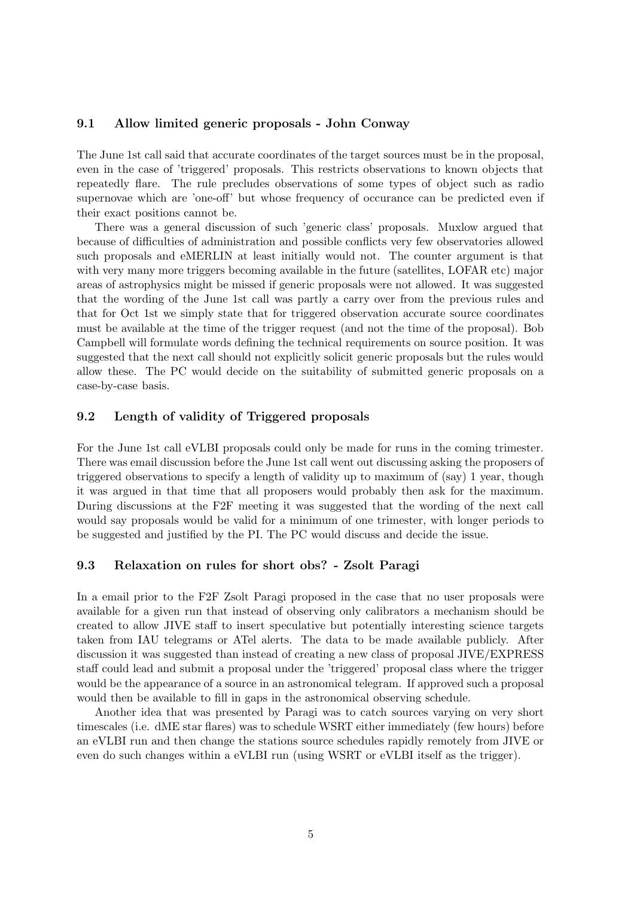#### 9.1 Allow limited generic proposals - John Conway

The June 1st call said that accurate coordinates of the target sources must be in the proposal, even in the case of 'triggered' proposals. This restricts observations to known objects that repeatedly flare. The rule precludes observations of some types of object such as radio supernovae which are 'one-off' but whose frequency of occurance can be predicted even if their exact positions cannot be.

There was a general discussion of such 'generic class' proposals. Muxlow argued that because of difficulties of administration and possible conflicts very few observatories allowed such proposals and eMERLIN at least initially would not. The counter argument is that with very many more triggers becoming available in the future (satellites, LOFAR etc) major areas of astrophysics might be missed if generic proposals were not allowed. It was suggested that the wording of the June 1st call was partly a carry over from the previous rules and that for Oct 1st we simply state that for triggered observation accurate source coordinates must be available at the time of the trigger request (and not the time of the proposal). Bob Campbell will formulate words defining the technical requirements on source position. It was suggested that the next call should not explicitly solicit generic proposals but the rules would allow these. The PC would decide on the suitability of submitted generic proposals on a case-by-case basis.

#### 9.2 Length of validity of Triggered proposals

For the June 1st call eVLBI proposals could only be made for runs in the coming trimester. There was email discussion before the June 1st call went out discussing asking the proposers of triggered observations to specify a length of validity up to maximum of (say) 1 year, though it was argued in that time that all proposers would probably then ask for the maximum. During discussions at the F2F meeting it was suggested that the wording of the next call would say proposals would be valid for a minimum of one trimester, with longer periods to be suggested and justified by the PI. The PC would discuss and decide the issue.

#### 9.3 Relaxation on rules for short obs? - Zsolt Paragi

In a email prior to the F2F Zsolt Paragi proposed in the case that no user proposals were available for a given run that instead of observing only calibrators a mechanism should be created to allow JIVE staff to insert speculative but potentially interesting science targets taken from IAU telegrams or ATel alerts. The data to be made available publicly. After discussion it was suggested than instead of creating a new class of proposal JIVE/EXPRESS staff could lead and submit a proposal under the 'triggered' proposal class where the trigger would be the appearance of a source in an astronomical telegram. If approved such a proposal would then be available to fill in gaps in the astronomical observing schedule.

Another idea that was presented by Paragi was to catch sources varying on very short timescales (i.e. dME star flares) was to schedule WSRT either immediately (few hours) before an eVLBI run and then change the stations source schedules rapidly remotely from JIVE or even do such changes within a eVLBI run (using WSRT or eVLBI itself as the trigger).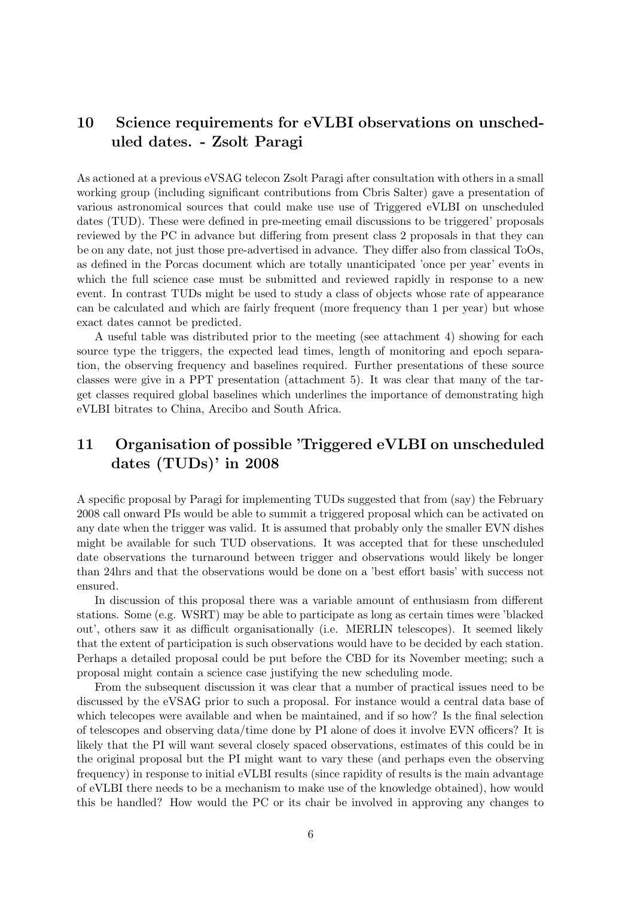# 10 Science requirements for eVLBI observations on unscheduled dates. - Zsolt Paragi

As actioned at a previous eVSAG telecon Zsolt Paragi after consultation with others in a small working group (including significant contributions from Cbris Salter) gave a presentation of various astronomical sources that could make use use of Triggered eVLBI on unscheduled dates (TUD). These were defined in pre-meeting email discussions to be triggered' proposals reviewed by the PC in advance but differing from present class 2 proposals in that they can be on any date, not just those pre-advertised in advance. They differ also from classical ToOs, as defined in the Porcas document which are totally unanticipated 'once per year' events in which the full science case must be submitted and reviewed rapidly in response to a new event. In contrast TUDs might be used to study a class of objects whose rate of appearance can be calculated and which are fairly frequent (more frequency than 1 per year) but whose exact dates cannot be predicted.

A useful table was distributed prior to the meeting (see attachment 4) showing for each source type the triggers, the expected lead times, length of monitoring and epoch separation, the observing frequency and baselines required. Further presentations of these source classes were give in a PPT presentation (attachment 5). It was clear that many of the target classes required global baselines which underlines the importance of demonstrating high eVLBI bitrates to China, Arecibo and South Africa.

# 11 Organisation of possible 'Triggered eVLBI on unscheduled dates (TUDs)' in 2008

A specific proposal by Paragi for implementing TUDs suggested that from (say) the February 2008 call onward PIs would be able to summit a triggered proposal which can be activated on any date when the trigger was valid. It is assumed that probably only the smaller EVN dishes might be available for such TUD observations. It was accepted that for these unscheduled date observations the turnaround between trigger and observations would likely be longer than 24hrs and that the observations would be done on a 'best effort basis' with success not ensured.

In discussion of this proposal there was a variable amount of enthusiasm from different stations. Some (e.g. WSRT) may be able to participate as long as certain times were 'blacked out', others saw it as difficult organisationally (i.e. MERLIN telescopes). It seemed likely that the extent of participation is such observations would have to be decided by each station. Perhaps a detailed proposal could be put before the CBD for its November meeting; such a proposal might contain a science case justifying the new scheduling mode.

From the subsequent discussion it was clear that a number of practical issues need to be discussed by the eVSAG prior to such a proposal. For instance would a central data base of which telecopes were available and when be maintained, and if so how? Is the final selection of telescopes and observing data/time done by PI alone of does it involve EVN officers? It is likely that the PI will want several closely spaced observations, estimates of this could be in the original proposal but the PI might want to vary these (and perhaps even the observing frequency) in response to initial eVLBI results (since rapidity of results is the main advantage of eVLBI there needs to be a mechanism to make use of the knowledge obtained), how would this be handled? How would the PC or its chair be involved in approving any changes to